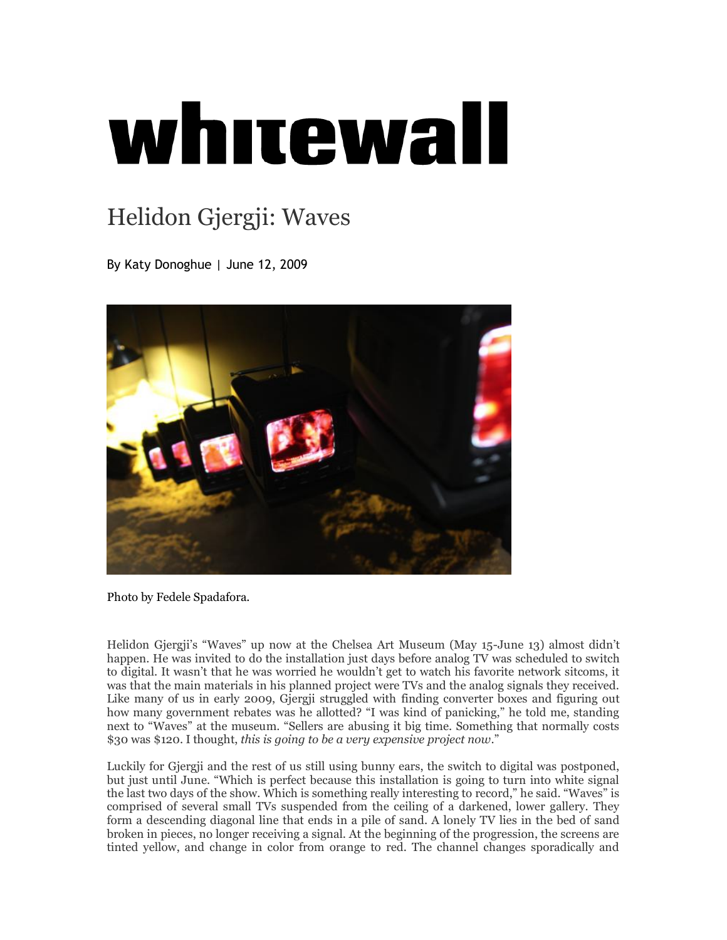## whitewall

## [Helidon Gjergji: Waves](https://archive.is/o/wZyYD/http:/www.whitewallmag.com/2009/06/12/helidon-gjerji-the-chelsea-art-museum/)

By [Katy Donoghue](https://archive.is/o/wZyYD/http:/www.whitewallmag.com/author/katy/) | June 12, 2009



Photo by Fedele Spadafora.

Helidon Gjergji's "Waves" up now at the Chelsea Art Museum (May 15-June 13) almost didn't happen. He was invited to do the installation just days before analog TV was scheduled to switch to digital. It wasn't that he was worried he wouldn't get to watch his favorite network sitcoms, it was that the main materials in his planned project were TVs and the analog signals they received. Like many of us in early 2009, Gjergji struggled with finding converter boxes and figuring out how many government rebates was he allotted? "I was kind of panicking," he told me, standing next to "Waves" at the museum. "Sellers are abusing it big time. Something that normally costs \$30 was \$120. I thought, *this is going to be a very expensive project now*."

Luckily for Gjergji and the rest of us still using bunny ears, the switch to digital was postponed, but just until June. "Which is perfect because this installation is going to turn into white signal the last two days of the show. Which is something really interesting to record," he said. "Waves" is comprised of several small TVs suspended from the ceiling of a darkened, lower gallery. They form a descending diagonal line that ends in a pile of sand. A lonely TV lies in the bed of sand broken in pieces, no longer receiving a signal. At the beginning of the progression, the screens are tinted yellow, and change in color from orange to red. The channel changes sporadically and